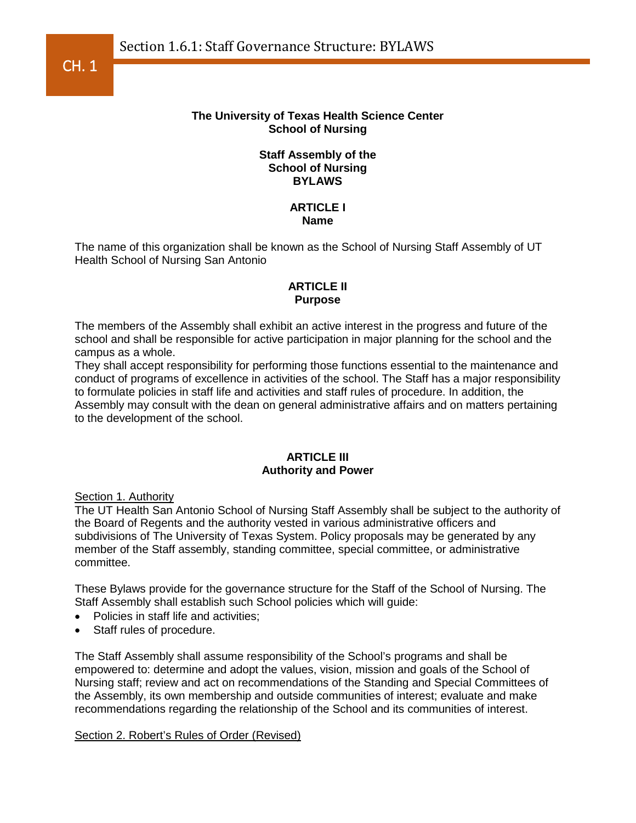

## **The University of Texas Health Science Center School of Nursing**

## **Staff Assembly of the School of Nursing BYLAWS**

## **ARTICLE I Name**

The name of this organization shall be known as the School of Nursing Staff Assembly of UT Health School of Nursing San Antonio

# **ARTICLE II Purpose**

The members of the Assembly shall exhibit an active interest in the progress and future of the school and shall be responsible for active participation in major planning for the school and the campus as a whole.

They shall accept responsibility for performing those functions essential to the maintenance and conduct of programs of excellence in activities of the school. The Staff has a major responsibility to formulate policies in staff life and activities and staff rules of procedure. In addition, the Assembly may consult with the dean on general administrative affairs and on matters pertaining to the development of the school.

## **ARTICLE III Authority and Power**

Section 1. Authority

The UT Health San Antonio School of Nursing Staff Assembly shall be subject to the authority of the Board of Regents and the authority vested in various administrative officers and subdivisions of The University of Texas System. Policy proposals may be generated by any member of the Staff assembly, standing committee, special committee, or administrative committee.

These Bylaws provide for the governance structure for the Staff of the School of Nursing. The Staff Assembly shall establish such School policies which will guide:

- Policies in staff life and activities;
- Staff rules of procedure.

The Staff Assembly shall assume responsibility of the School's programs and shall be empowered to: determine and adopt the values, vision, mission and goals of the School of Nursing staff; review and act on recommendations of the Standing and Special Committees of the Assembly, its own membership and outside communities of interest; evaluate and make recommendations regarding the relationship of the School and its communities of interest.

#### Section 2. Robert's Rules of Order (Revised)